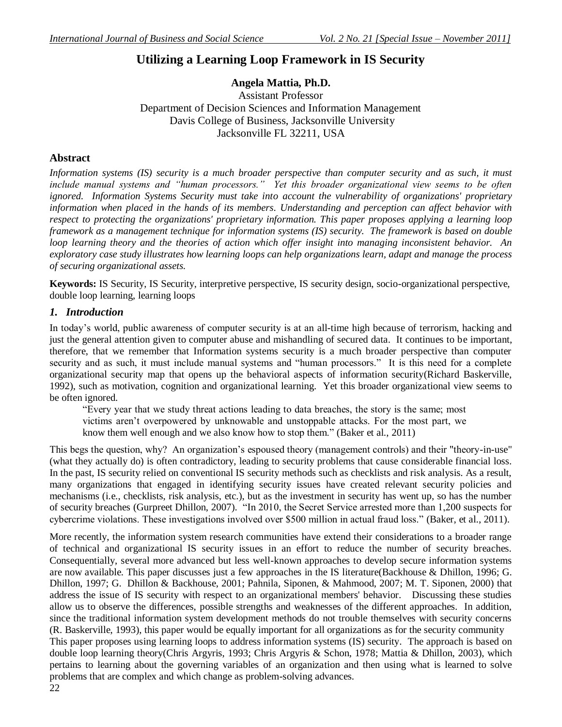## **Utilizing a Learning Loop Framework in IS Security**

## **Angela Mattia, Ph.D.**

Assistant Professor Department of Decision Sciences and Information Management Davis College of Business, Jacksonville University Jacksonville FL 32211, USA

#### **Abstract**

*Information systems (IS) security is a much broader perspective than computer security and as such, it must include manual systems and "human processors." Yet this broader organizational view seems to be often ignored. Information Systems Security must take into account the vulnerability of organizations' proprietary information when placed in the hands of its members. Understanding and perception can affect behavior with respect to protecting the organizations' proprietary information. This paper proposes applying a learning loop framework as a management technique for information systems (IS) security. The framework is based on double loop learning theory and the theories of action which offer insight into managing inconsistent behavior. An exploratory case study illustrates how learning loops can help organizations learn, adapt and manage the process of securing organizational assets.*

**Keywords:** IS Security, IS Security, interpretive perspective, IS security design, socio-organizational perspective, double loop learning, learning loops

#### *1. Introduction*

In today's world, public awareness of computer security is at an all-time high because of terrorism, hacking and just the general attention given to computer abuse and mishandling of secured data. It continues to be important, therefore, that we remember that Information systems security is a much broader perspective than computer security and as such, it must include manual systems and "human processors." It is this need for a complete organizational security map that opens up the behavioral aspects of information security[\(Richard Baskerville,](#page-7-0)  [1992\)](#page-7-0), such as motivation, cognition and organizational learning. Yet this broader organizational view seems to be often ignored.

"Every year that we study threat actions leading to data breaches, the story is the same; most victims aren"t overpowered by unknowable and unstoppable attacks. For the most part, we know them well enough and we also know how to stop them." [\(Baker et al., 2011\)](#page-7-1)

This begs the question, why? An organization"s espoused theory (management controls) and their "theory-in-use" (what they actually do) is often contradictory, leading to security problems that cause considerable financial loss. In the past, IS security relied on conventional IS security methods such as checklists and risk analysis. As a result, many organizations that engaged in identifying security issues have created relevant security policies and mechanisms (i.e., checklists, risk analysis, etc.), but as the investment in security has went up, so has the number of security breaches [\(Gurpreet Dhillon, 2007\)](#page-7-2). "In 2010, the Secret Service arrested more than 1,200 suspects for cybercrime violations. These investigations involved over \$500 million in actual fraud loss." [\(Baker, et al., 2011\)](#page-7-1).

More recently, the information system research communities have extend their considerations to a broader range of technical and organizational IS security issues in an effort to reduce the number of security breaches. Consequentially, several more advanced but less well-known approaches to develop secure information systems are now available. This paper discusses just a few approaches in the IS literature[\(Backhouse & Dhillon, 1996;](#page-7-3) [G.](#page-7-4)  [Dhillon, 1997;](#page-7-4) [G. Dhillon & Backhouse, 2001;](#page-7-5) [Pahnila, Siponen, & Mahmood, 2007;](#page-7-6) [M. T. Siponen, 2000\)](#page-7-7) that address the issue of IS security with respect to an organizational members' behavior. Discussing these studies allow us to observe the differences, possible strengths and weaknesses of the different approaches. In addition, since the traditional information system development methods do not trouble themselves with security concerns [\(R. Baskerville, 1993\)](#page-7-8), this paper would be equally important for all organizations as for the security community This paper proposes using learning loops to address information systems (IS) security. The approach is based on double loop learning theory[\(Chris Argyris, 1993;](#page-7-9) [Chris Argyris & Schon, 1978;](#page-7-10) [Mattia & Dhillon, 2003\)](#page-7-11), which

pertains to learning about the governing variables of an organization and then using what is learned to solve problems that are complex and which change as problem-solving advances.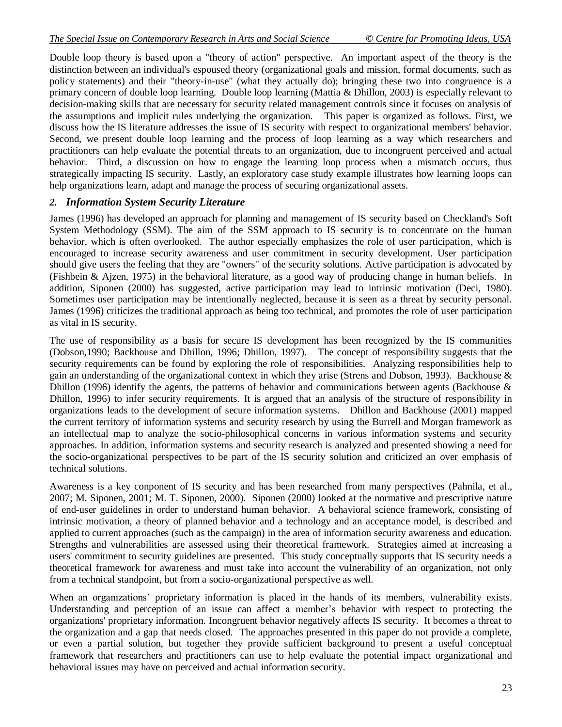Double loop theory is based upon a "theory of action" perspective. An important aspect of the theory is the distinction between an individual's espoused theory (organizational goals and mission, formal documents, such as policy statements) and their "theory-in-use" (what they actually do); bringing these two into congruence is a primary concern of double loop learning. Double loop learning [\(Mattia & Dhillon, 2003\)](#page-7-11) is especially relevant to decision-making skills that are necessary for security related management controls since it focuses on analysis of the assumptions and implicit rules underlying the organization. This paper is organized as follows. First, we discuss how the IS literature addresses the issue of IS security with respect to organizational members' behavior. Second, we present double loop learning and the process of loop learning as a way which researchers and practitioners can help evaluate the potential threats to an organization, due to incongruent perceived and actual behavior. Third, a discussion on how to engage the learning loop process when a mismatch occurs, thus strategically impacting IS security. Lastly, an exploratory case study example illustrates how learning loops can help organizations learn, adapt and manage the process of securing organizational assets.

## *2. Information System Security Literature*

James (1996) has developed an approach for planning and management of IS security based on Checkland's Soft System Methodology (SSM). The aim of the SSM approach to IS security is to concentrate on the human behavior, which is often overlooked. The author especially emphasizes the role of user participation, which is encouraged to increase security awareness and user commitment in security development. User participation should give users the feeling that they are "owners" of the security solutions. Active participation is advocated by [\(Fishbein & Ajzen, 1975\)](#page-7-12) in the behavioral literature, as a good way of producing change in human beliefs. In addition, Siponen (2000) has suggested, active participation may lead to intrinsic motivation [\(Deci, 1980\)](#page-7-13). Sometimes user participation may be intentionally neglected, because it is seen as a threat by security personal. James (1996) criticizes the traditional approach as being too technical, and promotes the role of user participation as vital in IS security.

The use of responsibility as a basis for secure IS development has been recognized by the IS communities (Dobson,1990; Backhouse and Dhillon, 1996; Dhillon, 1997). The concept of responsibility suggests that the security requirements can be found by exploring the role of responsibilities. Analyzing responsibilities help to gain an understanding of the organizational context in which they arise (Strens and Dobson, 1993). Backhouse & Dhillon (1996) identify the agents, the patterns of behavior and communications between agents (Backhouse & Dhillon, 1996) to infer security requirements. It is argued that an analysis of the structure of responsibility in organizations leads to the development of secure information systems. Dhillon and Backhouse (2001) mapped the current territory of information systems and security research by using the Burrell and Morgan framework as an intellectual map to analyze the socio-philosophical concerns in various information systems and security approaches. In addition, information systems and security research is analyzed and presented showing a need for the socio-organizational perspectives to be part of the IS security solution and criticized an over emphasis of technical solutions.

Awareness is a key conponent of IS security and has been researched from many perspectives [\(Pahnila, et al.,](#page-7-6)  [2007;](#page-7-6) [M. Siponen, 2001;](#page-7-14) [M. T. Siponen, 2000\)](#page-7-7). Siponen (2000) looked at the normative and prescriptive nature of end-user guidelines in order to understand human behavior. A behavioral science framework, consisting of intrinsic motivation, a theory of planned behavior and a technology and an acceptance model, is described and applied to current approaches (such as the campaign) in the area of information security awareness and education. Strengths and vulnerabilities are assessed using their theoretical framework. Strategies aimed at increasing a users' commitment to security guidelines are presented. This study conceptually supports that IS security needs a theoretical framework for awareness and must take into account the vulnerability of an organization, not only from a technical standpoint, but from a socio-organizational perspective as well.

When an organizations' proprietary information is placed in the hands of its members, vulnerability exists. Understanding and perception of an issue can affect a member's behavior with respect to protecting the organizations' proprietary information. Incongruent behavior negatively affects IS security. It becomes a threat to the organization and a gap that needs closed. The approaches presented in this paper do not provide a complete, or even a partial solution, but together they provide sufficient background to present a useful conceptual framework that researchers and practitioners can use to help evaluate the potential impact organizational and behavioral issues may have on perceived and actual information security.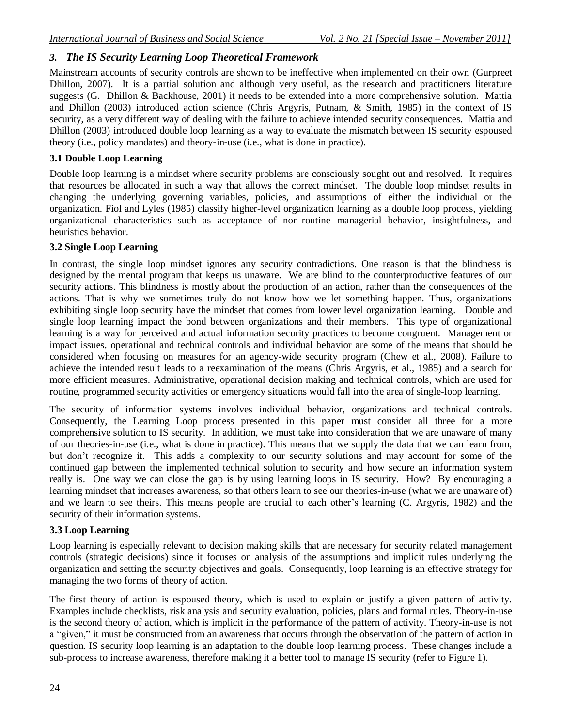## *3. The IS Security Learning Loop Theoretical Framework*

Mainstream accounts of security controls are shown to be ineffective when implemented on their own [\(Gurpreet](#page-7-2)  [Dhillon, 2007\)](#page-7-2). It is a partial solution and although very useful, as the research and practitioners literature suggests [\(G. Dhillon & Backhouse, 2001\)](#page-7-5) it needs to be extended into a more comprehensive solution. Mattia and Dhillon (2003) introduced action science [\(Chris Argyris, Putnam, & Smith, 1985\)](#page-7-15) in the context of IS security, as a very different way of dealing with the failure to achieve intended security consequences. Mattia and Dhillon (2003) introduced double loop learning as a way to evaluate the mismatch between IS security espoused theory (i.e., policy mandates) and theory-in-use (i.e., what is done in practice).

#### **3.1 Double Loop Learning**

Double loop learning is a mindset where security problems are consciously sought out and resolved. It requires that resources be allocated in such a way that allows the correct mindset. The double loop mindset results in changing the underlying governing variables, policies, and assumptions of either the individual or the organization. Fiol and Lyles (1985) classify higher-level organization learning as a double loop process, yielding organizational characteristics such as acceptance of non-routine managerial behavior, insightfulness, and heuristics behavior.

#### **3.2 Single Loop Learning**

In contrast, the single loop mindset ignores any security contradictions. One reason is that the blindness is designed by the mental program that keeps us unaware. We are blind to the counterproductive features of our security actions. This blindness is mostly about the production of an action, rather than the consequences of the actions. That is why we sometimes truly do not know how we let something happen. Thus, organizations exhibiting single loop security have the mindset that comes from lower level organization learning. Double and single loop learning impact the bond between organizations and their members. This type of organizational learning is a way for perceived and actual information security practices to become congruent. Management or impact issues, operational and technical controls and individual behavior are some of the means that should be considered when focusing on measures for an agency-wide security program [\(Chew et al., 2008\)](#page-7-16). Failure to achieve the intended result leads to a reexamination of the means [\(Chris Argyris, et al., 1985\)](#page-7-15) and a search for more efficient measures. Administrative, operational decision making and technical controls, which are used for routine, programmed security activities or emergency situations would fall into the area of single-loop learning. <sup>\*</sup>

The security of information systems involves individual behavior, organizations and technical controls. Consequently, the Learning Loop process presented in this paper must consider all three for a more comprehensive solution to IS security. In addition, we must take into consideration that we are unaware of many of our theories-in-use (i.e., what is done in practice). This means that we supply the data that we can learn from, but don"t recognize it. This adds a complexity to our security solutions and may account for some of the continued gap between the implemented technical solution to security and how secure an information system really is. One way we can close the gap is by using learning loops in IS security. How? By encouraging a learning mindset that increases awareness, so that others learn to see our theories-in-use (what we are unaware of) and we learn to see theirs. This means people are crucial to each other"s learning [\(C. Argyris,](#page-7-17) 1982) and the security of their information systems.

## **3.3 Loop Learning**

Loop learning is especially relevant to decision making skills that are necessary for security related management controls (strategic decisions) since it focuses on analysis of the assumptions and implicit rules underlying the organization and setting the security objectives and goals. Consequently, loop learning is an effective strategy for managing the two forms of theory of action.

The first theory of action is espoused theory, which is used to explain or justify a given pattern of activity. Examples include checklists, risk analysis and security evaluation, policies, plans and formal rules. Theory-in-use is the second theory of action, which is implicit in the performance of the pattern of activity. Theory-in-use is not a "given," it must be constructed from an awareness that occurs through the observation of the pattern of action in question. IS security loop learning is an adaptation to the double loop learning process. These changes include a sub-process to increase awareness, therefore making it a better tool to manage IS security (refer to Figure 1).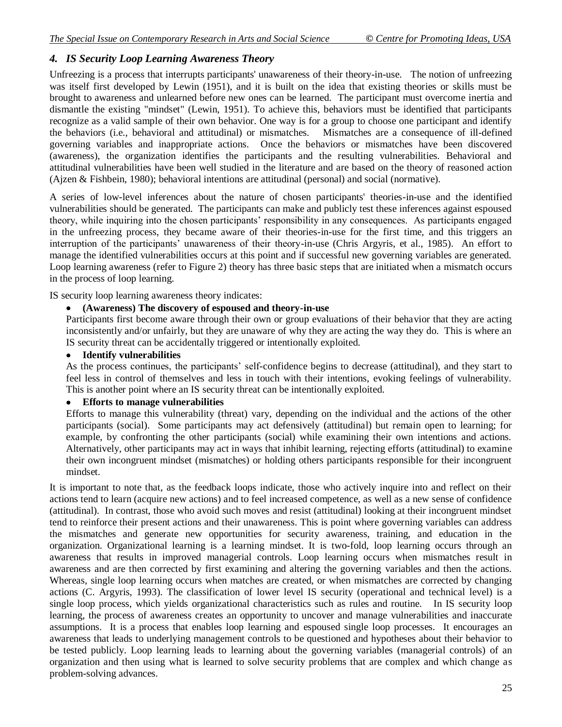## *4. IS Security Loop Learning Awareness Theory*

Unfreezing is a process that interrupts participants' unawareness of their theory-in-use. The notion of unfreezing was itself first developed by Lewin (1951), and it is built on the idea that existing theories or skills must be brought to awareness and unlearned before new ones can be learned. The participant must overcome inertia and dismantle the existing "mindset" [\(Lewin, 1951\)](#page-7-18). To achieve this, behaviors must be identified that participants recognize as a valid sample of their own behavior. One way is for a group to choose one participant and identify the behaviors (i.e., behavioral and attitudinal) or mismatches. Mismatches are a consequence of ill-defined governing variables and inappropriate actions. Once the behaviors or mismatches have been discovered (awareness), the organization identifies the participants and the resulting vulnerabilities. Behavioral and attitudinal vulnerabilities have been well studied in the literature and are based on the theory of reasoned action [\(Ajzen & Fishbein, 1980\)](#page-7-19); behavioral intentions are attitudinal (personal) and social (normative).

A series of low-level inferences about the nature of chosen participants' theories-in-use and the identified vulnerabilities should be generated. The participants can make and publicly test these inferences against espoused theory, while inquiring into the chosen participants" responsibility in any consequences. As participants engaged in the unfreezing process, they became aware of their theories-in-use for the first time, and this triggers an interruption of the participants' unawareness of their theory-in-use [\(Chris Argyris, et al., 1985\)](#page-7-15). An effort to manage the identified vulnerabilities occurs at this point and if successful new governing variables are generated. Loop learning awareness (refer to Figure 2) theory has three basic steps that are initiated when a mismatch occurs in the process of loop learning.

IS security loop learning awareness theory indicates:

#### **(Awareness) The discovery of espoused and theory-in-use**

Participants first become aware through their own or group evaluations of their behavior that they are acting inconsistently and/or unfairly, but they are unaware of why they are acting the way they do. This is where an IS security threat can be accidentally triggered or intentionally exploited.

#### **Identify vulnerabilities**

As the process continues, the participants" self-confidence begins to decrease (attitudinal), and they start to feel less in control of themselves and less in touch with their intentions, evoking feelings of vulnerability. This is another point where an IS security threat can be intentionally exploited.

## **Efforts to manage vulnerabilities**

Efforts to manage this vulnerability (threat) vary, depending on the individual and the actions of the other participants (social). Some participants may act defensively (attitudinal) but remain open to learning; for example, by confronting the other participants (social) while examining their own intentions and actions. Alternatively, other participants may act in ways that inhibit learning, rejecting efforts (attitudinal) to examine their own incongruent mindset (mismatches) or holding others participants responsible for their incongruent mindset.

It is important to note that, as the feedback loops indicate, those who actively inquire into and reflect on their actions tend to learn (acquire new actions) and to feel increased competence, as well as a new sense of confidence (attitudinal). In contrast, those who avoid such moves and resist (attitudinal) looking at their incongruent mindset tend to reinforce their present actions and their unawareness. This is point where governing variables can address the mismatches and generate new opportunities for security awareness, training, and education in the organization. Organizational learning is a learning mindset. It is two-fold, loop learning occurs through an awareness that results in improved managerial controls. Loop learning occurs when mismatches result in awareness and are then corrected by first examining and altering the governing variables and then the actions. Whereas, single loop learning occurs when matches are created, or when mismatches are corrected by changing actions [\(C. Argyris, 1993\)](#page-7-20). The classification of lower level IS security (operational and technical level) is a single loop process, which yields organizational characteristics such as rules and routine. In IS security loop learning, the process of awareness creates an opportunity to uncover and manage vulnerabilities and inaccurate assumptions. It is a process that enables loop learning and espoused single loop processes. It encourages an awareness that leads to underlying management controls to be questioned and hypotheses about their behavior to be tested publicly. Loop learning leads to learning about the governing variables (managerial controls) of an organization and then using what is learned to solve security problems that are complex and which change as problem-solving advances.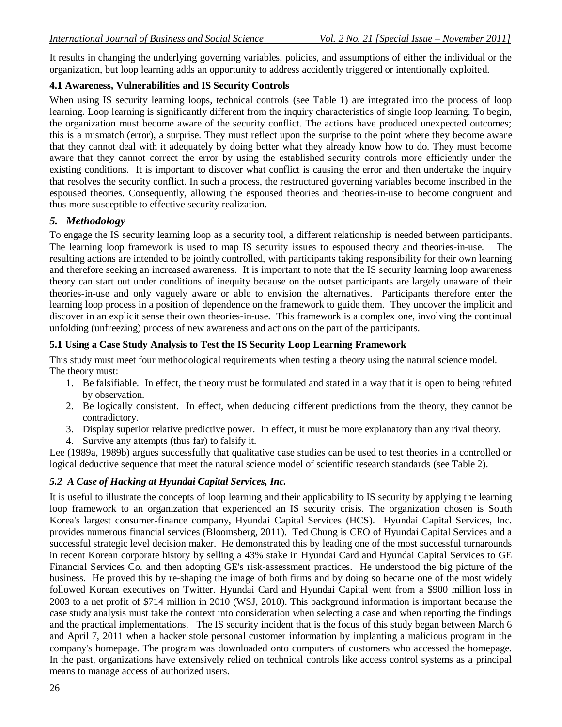It results in changing the underlying governing variables, policies, and assumptions of either the individual or the organization, but loop learning adds an opportunity to address accidently triggered or intentionally exploited.

## **4.1 Awareness, Vulnerabilities and IS Security Controls**

When using IS security learning loops, technical controls (see Table 1) are integrated into the process of loop learning. Loop learning is significantly different from the inquiry characteristics of single loop learning. To begin, the organization must become aware of the security conflict. The actions have produced unexpected outcomes; this is a mismatch (error), a surprise. They must reflect upon the surprise to the point where they become aware that they cannot deal with it adequately by doing better what they already know how to do. They must become aware that they cannot correct the error by using the established security controls more efficiently under the existing conditions. It is important to discover what conflict is causing the error and then undertake the inquiry that resolves the security conflict. In such a process, the restructured governing variables become inscribed in the espoused theories. Consequently, allowing the espoused theories and theories-in-use to become congruent and thus more susceptible to effective security realization.

## *5. Methodology*

To engage the IS security learning loop as a security tool, a different relationship is needed between participants. The learning loop framework is used to map IS security issues to espoused theory and theories-in-use. The resulting actions are intended to be jointly controlled, with participants taking responsibility for their own learning and therefore seeking an increased awareness. It is important to note that the IS security learning loop awareness theory can start out under conditions of inequity because on the outset participants are largely unaware of their theories-in-use and only vaguely aware or able to envision the alternatives. Participants therefore enter the learning loop process in a position of dependence on the framework to guide them. They uncover the implicit and discover in an explicit sense their own theories-in-use. This framework is a complex one, involving the continual unfolding (unfreezing) process of new awareness and actions on the part of the participants.

## **5.1 Using a Case Study Analysis to Test the IS Security Loop Learning Framework**

This study must meet four methodological requirements when testing a theory using the natural science model. The theory must:

- 1. Be falsifiable. In effect, the theory must be formulated and stated in a way that it is open to being refuted by observation.
- 2. Be logically consistent. In effect, when deducing different predictions from the theory, they cannot be contradictory.
- 3. Display superior relative predictive power. In effect, it must be more explanatory than any rival theory.
- 4. Survive any attempts (thus far) to falsify it.

Lee (1989a, 1989b) argues successfully that qualitative case studies can be used to test theories in a controlled or logical deductive sequence that meet the natural science model of scientific research standards (see Table 2).

## *5.2 A Case of Hacking at Hyundai Capital Services, Inc.*

It is useful to illustrate the concepts of loop learning and their applicability to IS security by applying the learning loop framework to an organization that experienced an IS security crisis. The organization chosen is South Korea's largest consumer-finance company, Hyundai Capital Services (HCS). Hyundai Capital Services, Inc. provides numerous financial services [\(Bloomsberg, 2011\)](#page-7-21). Ted Chung is CEO of Hyundai Capital Services and a successful strategic level decision maker. He demonstrated this by leading one of the most successful turnarounds in recent Korean corporate history by selling a 43% stake in Hyundai Card and Hyundai Capital Services to GE Financial Services Co. and then adopting GE's risk-assessment practices. He understood the big picture of the business. He proved this by re-shaping the image of both firms and by doing so became one of the most widely followed Korean executives on Twitter. Hyundai Card and Hyundai Capital went from a \$900 million loss in 2003 to a net profit of \$714 million in 2010 [\(WSJ, 2010\)](#page-7-22). This background information is important because the case study analysis must take the context into consideration when selecting a case and when reporting the findings and the practical implementations. The IS security incident that is the focus of this study began between March 6 and April 7, 2011 when a hacker stole personal customer information by implanting a malicious program in the company's homepage. The program was downloaded onto computers of customers who accessed the homepage. In the past, organizations have extensively relied on technical controls like access control systems as a principal means to manage access of authorized users.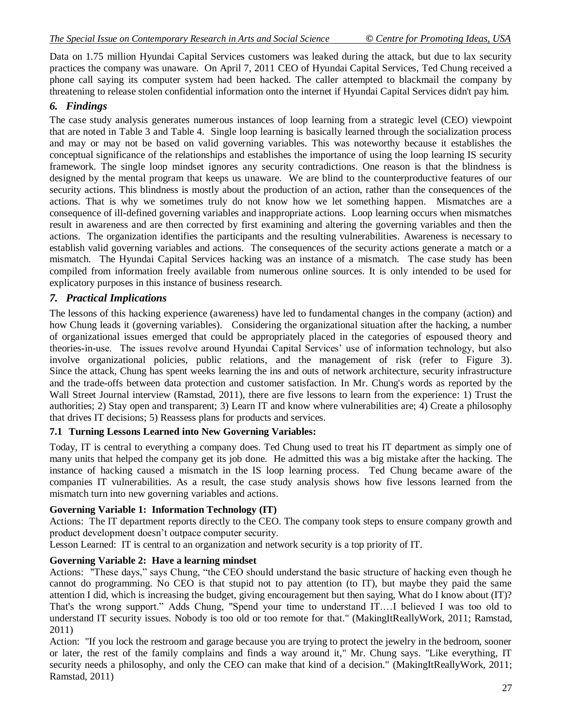Data on 1.75 million Hyundai Capital Services customers was leaked during the attack, but due to lax security practices the company was unaware. On April 7, 2011 CEO of Hyundai Capital Services, Ted Chung received a phone call saying its computer system had been hacked. The caller attempted to blackmail the company by threatening to release stolen confidential information onto the internet if Hyundai Capital Services didn't pay him.

## *6. Findings*

The case study analysis generates numerous instances of loop learning from a strategic level (CEO) viewpoint that are noted in Table 3 and Table 4. Single loop learning is basically learned through the socialization process and may or may not be based on valid governing variables. This was noteworthy because it establishes the conceptual significance of the relationships and establishes the importance of using the loop learning IS security framework. The single loop mindset ignores any security contradictions. One reason is that the blindness is designed by the mental program that keeps us unaware. We are blind to the counterproductive features of our security actions. This blindness is mostly about the production of an action, rather than the consequences of the actions. That is why we sometimes truly do not know how we let something happen. Mismatches are a consequence of ill-defined governing variables and inappropriate actions. Loop learning occurs when mismatches result in awareness and are then corrected by first examining and altering the governing variables and then the actions. The organization identifies the participants and the resulting vulnerabilities. Awareness is necessary to establish valid governing variables and actions. The consequences of the security actions generate a match or a mismatch. The Hyundai Capital Services hacking was an instance of a mismatch. The case study has been compiled from information freely available from numerous online sources. It is only intended to be used for explicatory purposes in this instance of business research.

## *7. Practical Implications*

The lessons of this hacking experience (awareness) have led to fundamental changes in the company (action) and how Chung leads it (governing variables). Considering the organizational situation after the hacking, a number of organizational issues emerged that could be appropriately placed in the categories of espoused theory and theories-in-use. The issues revolve around Hyundai Capital Services' use of information technology, but also involve organizational policies, public relations, and the management of risk (refer to Figure 3). Since the attack, Chung has spent weeks learning the ins and outs of network architecture, security infrastructure and the trade-offs between data protection and customer satisfaction. In Mr. Chung's words as reported by the Wall Street Journal interview [\(Ramstad, 2011\)](#page-7-23), there are five lessons to learn from the experience: 1) Trust the authorities; 2) Stay open and transparent; 3) Learn IT and know where vulnerabilities are; 4) Create a philosophy that drives IT decisions; 5) Reassess plans for products and services.

## **7.1 Turning Lessons Learned into New Governing Variables:**

Today, IT is central to everything a company does. Ted Chung used to treat his IT department as simply one of many units that helped the company get its job done. He admitted this was a big mistake after the hacking. The instance of hacking caused a mismatch in the IS loop learning process. Ted Chung became aware of the companies IT vulnerabilities. As a result, the case study analysis shows how five lessons learned from the mismatch turn into new governing variables and actions.

## **Governing Variable 1: Information Technology (IT)**

Actions: The IT department reports directly to the CEO. The company took steps to ensure company growth and product development doesn"t outpace computer security.

Lesson Learned: IT is central to an organization and network security is a top priority of IT.

## **Governing Variable 2: Have a learning mindset**

Actions: "These days," says Chung, "the CEO should understand the basic structure of hacking even though he cannot do programming. No CEO is that stupid not to pay attention (to IT), but maybe they paid the same attention I did, which is increasing the budget, giving encouragement but then saying, What do I know about (IT)? That's the wrong support." Adds Chung, "Spend your time to understand IT.…I believed I was too old to understand IT security issues. Nobody is too old or too remote for that." [\(MakingItReallyWork, 2011;](#page-7-24) [Ramstad,](#page-7-23)  [2011\)](#page-7-23)

Action: "If you lock the restroom and garage because you are trying to protect the jewelry in the bedroom, sooner or later, the rest of the family complains and finds a way around it," Mr. Chung says. "Like everything, IT security needs a philosophy, and only the CEO can make that kind of a decision." [\(MakingItReallyWork, 2011;](#page-7-24) [Ramstad, 2011\)](#page-7-23)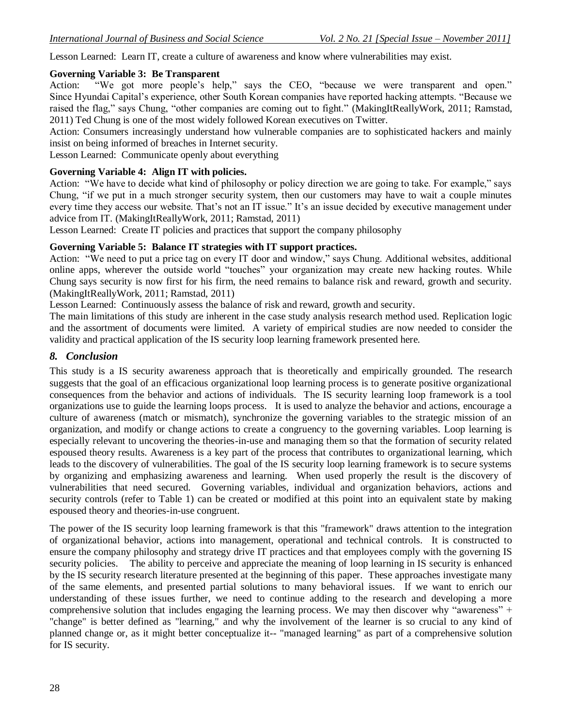Lesson Learned: Learn IT, create a culture of awareness and know where vulnerabilities may exist.

## **Governing Variable 3: Be Transparent**

Action: "We got more people's help," says the CEO, "because we were transparent and open." Since Hyundai Capital"s experience, other South Korean companies have reported hacking attempts. "Because we raised the flag," says Chung, "other companies are coming out to fight." [\(MakingItReallyWork, 2011;](#page-7-24) [Ramstad,](#page-7-23)  [2011\)](#page-7-23) Ted Chung is one of the most widely followed Korean executives on Twitter.

Action: Consumers increasingly understand how vulnerable companies are to sophisticated hackers and mainly insist on being informed of breaches in Internet security.

Lesson Learned: Communicate openly about everything

## **Governing Variable 4: Align IT with policies.**

Action: "We have to decide what kind of philosophy or policy direction we are going to take. For example," says Chung, "if we put in a much stronger security system, then our customers may have to wait a couple minutes every time they access our website. That's not an IT issue." It's an issue decided by executive management under advice from IT. [\(MakingItReallyWork, 2011;](#page-7-24) [Ramstad, 2011\)](#page-7-23)

Lesson Learned: Create IT policies and practices that support the company philosophy

## **Governing Variable 5: Balance IT strategies with IT support practices.**

Action: "We need to put a price tag on every IT door and window," says Chung. Additional websites, additional online apps, wherever the outside world "touches" your organization may create new hacking routes. While Chung says security is now first for his firm, the need remains to balance risk and reward, growth and security. [\(MakingItReallyWork, 2011;](#page-7-24) [Ramstad, 2011\)](#page-7-23)

Lesson Learned: Continuously assess the balance of risk and reward, growth and security.

The main limitations of this study are inherent in the case study analysis research method used. Replication logic and the assortment of documents were limited. A variety of empirical studies are now needed to consider the validity and practical application of the IS security loop learning framework presented here.

## *8. Conclusion*

This study is a IS security awareness approach that is theoretically and empirically grounded. The research suggests that the goal of an efficacious organizational loop learning process is to generate positive organizational consequences from the behavior and actions of individuals. The IS security learning loop framework is a tool organizations use to guide the learning loops process. It is used to analyze the behavior and actions, encourage a culture of awareness (match or mismatch), synchronize the governing variables to the strategic mission of an organization, and modify or change actions to create a congruency to the governing variables. Loop learning is especially relevant to uncovering the theories-in-use and managing them so that the formation of security related espoused theory results. Awareness is a key part of the process that contributes to organizational learning, which leads to the discovery of vulnerabilities. The goal of the IS security loop learning framework is to secure systems by organizing and emphasizing awareness and learning. When used properly the result is the discovery of vulnerabilities that need secured. Governing variables, individual and organization behaviors, actions and security controls (refer to Table 1) can be created or modified at this point into an equivalent state by making espoused theory and theories-in-use congruent.

The power of the IS security loop learning framework is that this "framework" draws attention to the integration of organizational behavior, actions into management, operational and technical controls. It is constructed to ensure the company philosophy and strategy drive IT practices and that employees comply with the governing IS security policies. The ability to perceive and appreciate the meaning of loop learning in IS security is enhanced by the IS security research literature presented at the beginning of this paper. These approaches investigate many of the same elements, and presented partial solutions to many behavioral issues. If we want to enrich our understanding of these issues further, we need to continue adding to the research and developing a more comprehensive solution that includes engaging the learning process. We may then discover why "awareness" + "change" is better defined as "learning," and why the involvement of the learner is so crucial to any kind of planned change or, as it might better conceptualize it-- "managed learning" as part of a comprehensive solution for IS security.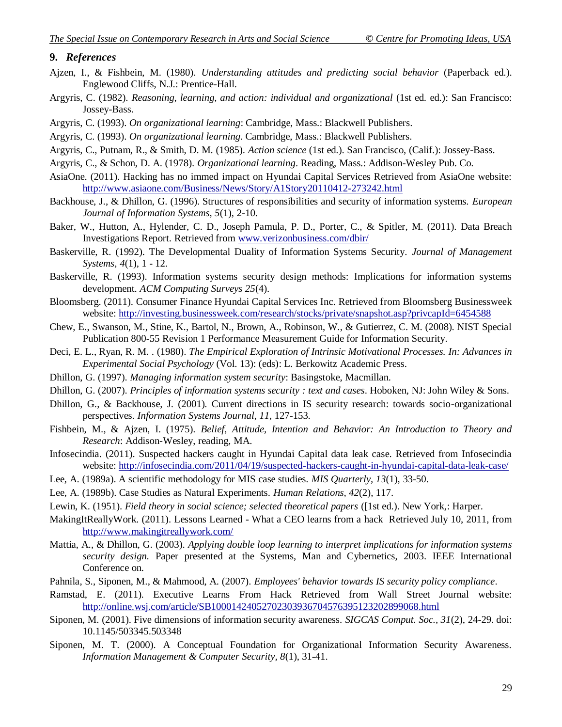#### **9.** *References*

- <span id="page-7-19"></span>Ajzen, I., & Fishbein, M. (1980). *Understanding attitudes and predicting social behavior* (Paperback ed.). Englewood Cliffs, N.J.: Prentice-Hall.
- <span id="page-7-17"></span>Argyris, C. (1982). *Reasoning, learning, and action: individual and organizational* (1st ed. ed.): San Francisco: Jossey-Bass.
- <span id="page-7-20"></span>Argyris, C. (1993). *On organizational learning*: Cambridge, Mass.: Blackwell Publishers.
- <span id="page-7-9"></span>Argyris, C. (1993). *On organizational learning*. Cambridge, Mass.: Blackwell Publishers.
- <span id="page-7-15"></span>Argyris, C., Putnam, R., & Smith, D. M. (1985). *Action science* (1st ed.). San Francisco, (Calif.): Jossey-Bass.
- <span id="page-7-10"></span>Argyris, C., & Schon, D. A. (1978). *Organizational learning*. Reading, Mass.: Addison-Wesley Pub. Co.
- AsiaOne. (2011). Hacking has no immed impact on Hyundai Capital Services Retrieved from AsiaOne website: <http://www.asiaone.com/Business/News/Story/A1Story20110412-273242.html>
- <span id="page-7-3"></span>Backhouse, J., & Dhillon, G. (1996). Structures of responsibilities and security of information systems. *European Journal of Information Systems, 5*(1), 2-10.
- <span id="page-7-1"></span>Baker, W., Hutton, A., Hylender, C. D., Joseph Pamula, P. D., Porter, C., & Spitler, M. (2011). Data Breach Investigations Report. Retrieved from [www.verizonbusiness.com/dbir/](http://www.verizonbusiness.com/dbir/)
- <span id="page-7-0"></span>Baskerville, R. (1992). The Developmental Duality of Information Systems Security. *Journal of Management Systems, 4*(1), 1 - 12.
- <span id="page-7-8"></span>Baskerville, R. (1993). Information systems security design methods: Implications for information systems development. *ACM Computing Surveys 25*(4).
- <span id="page-7-21"></span>Bloomsberg. (2011). Consumer Finance Hyundai Capital Services Inc. Retrieved from Bloomsberg Businessweek website:<http://investing.businessweek.com/research/stocks/private/snapshot.asp?privcapId=6454588>
- <span id="page-7-16"></span>Chew, E., Swanson, M., Stine, K., Bartol, N., Brown, A., Robinson, W., & Gutierrez, C. M. (2008). NIST Special Publication 800-55 Revision 1 Performance Measurement Guide for Information Security.
- <span id="page-7-13"></span>Deci, E. L., Ryan, R. M. . (1980). *The Empirical Exploration of Intrinsic Motivational Processes. In: Advances in Experimental Social Psychology* (Vol. 13): (eds): L. Berkowitz Academic Press.
- <span id="page-7-4"></span>Dhillon, G. (1997). *Managing information system security*: Basingstoke, Macmillan.
- <span id="page-7-2"></span>Dhillon, G. (2007). *Principles of information systems security : text and cases*. Hoboken, NJ: John Wiley & Sons.
- <span id="page-7-5"></span>Dhillon, G., & Backhouse, J. (2001). Current directions in IS security research: towards socio-organizational perspectives. *Information Systems Journal, 11*, 127-153.
- <span id="page-7-12"></span>Fishbein, M., & Ajzen, I. (1975). *Belief, Attitude, Intention and Behavior: An Introduction to Theory and Research*: Addison-Wesley, reading, MA.
- Infosecindia. (2011). Suspected hackers caught in Hyundai Capital data leak case. Retrieved from Infosecindia website:<http://infosecindia.com/2011/04/19/suspected-hackers-caught-in-hyundai-capital-data-leak-case/>
- <span id="page-7-25"></span>Lee, A. (1989a). A scientific methodology for MIS case studies. *MIS Quarterly, 13*(1), 33-50.
- <span id="page-7-26"></span>Lee, A. (1989b). Case Studies as Natural Experiments. *Human Relations, 42*(2), 117.
- <span id="page-7-18"></span>Lewin, K. (1951). *Field theory in social science; selected theoretical papers* ([1st ed.). New York,: Harper.
- <span id="page-7-24"></span>MakingItReallyWork. (2011). Lessons Learned - What a CEO learns from a hack Retrieved July 10, 2011, from <http://www.makingitreallywork.com/>
- <span id="page-7-11"></span>Mattia, A., & Dhillon, G. (2003). *Applying double loop learning to interpret implications for information systems security design.* Paper presented at the Systems, Man and Cybernetics, 2003. IEEE International Conference on.
- <span id="page-7-6"></span>Pahnila, S., Siponen, M., & Mahmood, A. (2007). *Employees' behavior towards IS security policy compliance*.
- <span id="page-7-23"></span>Ramstad, E. (2011). Executive Learns From Hack Retrieved from Wall Street Journal website: <http://online.wsj.com/article/SB10001424052702303936704576395123202899068.html>
- <span id="page-7-14"></span>Siponen, M. (2001). Five dimensions of information security awareness. *SIGCAS Comput. Soc., 31*(2), 24-29. doi: 10.1145/503345.503348
- <span id="page-7-22"></span><span id="page-7-7"></span>Siponen, M. T. (2000). A Conceptual Foundation for Organizational Information Security Awareness. *Information Management & Computer Security, 8*(1), 31-41.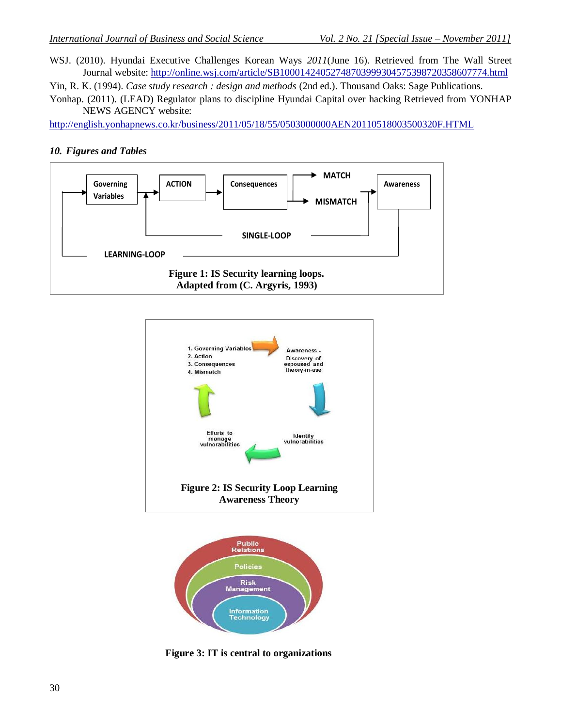WSJ. (2010). Hyundai Executive Challenges Korean Ways *2011*(June 16). Retrieved from The Wall Street Journal website:<http://online.wsj.com/article/SB10001424052748703999304575398720358607774.html>

<span id="page-8-0"></span>Yin, R. K. (1994). *Case study research : design and methods* (2nd ed.). Thousand Oaks: Sage Publications.

<span id="page-8-1"></span>Yonhap. (2011). (LEAD) Regulator plans to discipline Hyundai Capital over hacking Retrieved from YONHAP NEWS AGENCY website:

<http://english.yonhapnews.co.kr/business/2011/05/18/55/0503000000AEN20110518003500320F.HTML>

#### *10. Figures and Tables*







**Figure 3: IT is central to organizations**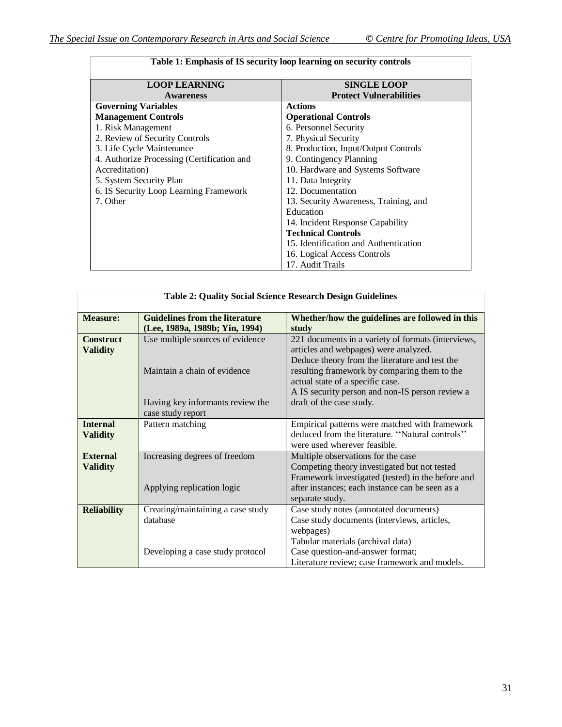| <b>LOOP LEARNING</b>                       | <b>SINGLE LOOP</b>                    |
|--------------------------------------------|---------------------------------------|
| <b>Awareness</b>                           | <b>Protect Vulnerabilities</b>        |
| <b>Governing Variables</b>                 | <b>Actions</b>                        |
| <b>Management Controls</b>                 | <b>Operational Controls</b>           |
| 1. Risk Management                         | 6. Personnel Security                 |
| 2. Review of Security Controls             | 7. Physical Security                  |
| 3. Life Cycle Maintenance                  | 8. Production, Input/Output Controls  |
| 4. Authorize Processing (Certification and | 9. Contingency Planning               |
| Accreditation)                             | 10. Hardware and Systems Software     |
| 5. System Security Plan                    | 11. Data Integrity                    |
| 6. IS Security Loop Learning Framework     | 12. Documentation                     |
| 7. Other                                   | 13. Security Awareness, Training, and |
|                                            | Education                             |
|                                            | 14. Incident Response Capability      |
|                                            | <b>Technical Controls</b>             |
|                                            | 15. Identification and Authentication |
|                                            | 16. Logical Access Controls           |
|                                            | 17. Audit Trails                      |

| <b>Table 2: Quality Social Science Research Design Guidelines</b> |                                                                                                      |                                                                                                                                                                                                                                                                                                                  |  |  |  |  |
|-------------------------------------------------------------------|------------------------------------------------------------------------------------------------------|------------------------------------------------------------------------------------------------------------------------------------------------------------------------------------------------------------------------------------------------------------------------------------------------------------------|--|--|--|--|
| <b>Measure:</b>                                                   | <b>Guidelines from the literature</b><br>(Lee, 1989a, 1989b; Yin, 1994)                              | Whether/how the guidelines are followed in this<br>study                                                                                                                                                                                                                                                         |  |  |  |  |
| <b>Construct</b><br><b>Validity</b>                               | Use multiple sources of evidence<br>Maintain a chain of evidence<br>Having key informants review the | 221 documents in a variety of formats (interviews,<br>articles and webpages) were analyzed.<br>Deduce theory from the literature and test the<br>resulting framework by comparing them to the<br>actual state of a specific case.<br>A IS security person and non-IS person review a<br>draft of the case study. |  |  |  |  |
|                                                                   | case study report                                                                                    |                                                                                                                                                                                                                                                                                                                  |  |  |  |  |
| <b>Internal</b><br><b>Validity</b>                                | Pattern matching                                                                                     | Empirical patterns were matched with framework<br>deduced from the literature. "Natural controls"<br>were used wherever feasible.                                                                                                                                                                                |  |  |  |  |
| <b>External</b><br><b>Validity</b>                                | Increasing degrees of freedom<br>Applying replication logic                                          | Multiple observations for the case<br>Competing theory investigated but not tested<br>Framework investigated (tested) in the before and<br>after instances; each instance can be seen as a<br>separate study.                                                                                                    |  |  |  |  |
| <b>Reliability</b>                                                | Creating/maintaining a case study<br>database<br>Developing a case study protocol                    | Case study notes (annotated documents)<br>Case study documents (interviews, articles,<br>webpages)<br>Tabular materials (archival data)<br>Case question-and-answer format;<br>Literature review; case framework and models.                                                                                     |  |  |  |  |

## **Table 1: Emphasis of IS security loop learning on security controls**